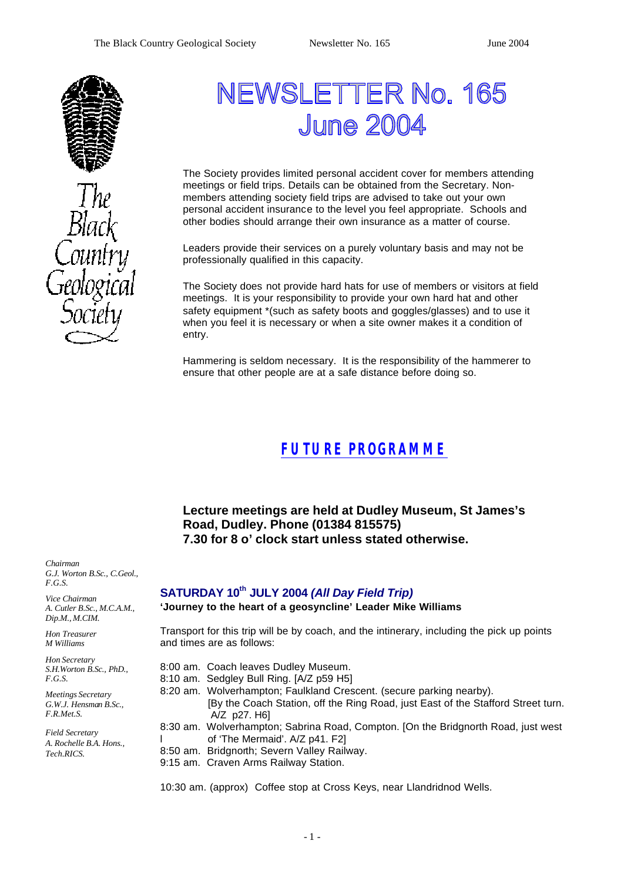

# NEWSLETTER No. 165 **June 200**

The Society provides limited personal accident cover for members attending meetings or field trips. Details can be obtained from the Secretary. Nonmembers attending society field trips are advised to take out your own personal accident insurance to the level you feel appropriate. Schools and other bodies should arrange their own insurance as a matter of course.

Leaders provide their services on a purely voluntary basis and may not be professionally qualified in this capacity.

The Society does not provide hard hats for use of members or visitors at field meetings. It is your responsibility to provide your own hard hat and other safety equipment \*(such as safety boots and goggles/glasses) and to use it when you feel it is necessary or when a site owner makes it a condition of entry.

Hammering is seldom necessary. It is the responsibility of the hammerer to ensure that other people are at a safe distance before doing so.

# *FUTURE PROGRAMME*

### **Lecture meetings are held at Dudley Museum, St James's Road, Dudley. Phone (01384 815575) 7.30 for 8 o' clock start unless stated otherwise.**

*Chairman G.J. Worton B.Sc., C.Geol., F.G.S.*

*Vice Chairman A. Cutler B.Sc., M.C.A.M., Dip.M., M.CIM.*

*Hon Treasurer M Williams* 

*Hon Secretary S.H.Worton B.Sc., PhD., F.G.S.*

*Meetings Secretary G.W.J. Hensman B.Sc., F.R.Met.S.*

*Field Secretary A. Rochelle B.A. Hons., Tech.RICS.*

### **SATURDAY 10th JULY 2004** *(All Day Field Trip)*

**'Journey to the heart of a geosyncline' Leader Mike Williams**

Transport for this trip will be by coach, and the intinerary, including the pick up points and times are as follows:

- 8:00 am. Coach leaves Dudley Museum.
- 8:10 am. Sedgley Bull Ring. [A/Z p59 H5]
- 8:20 am. Wolverhampton; Faulkland Crescent. (secure parking nearby). [By the Coach Station, off the Ring Road, just East of the Stafford Street turn. A/Z p27. H6]
- 8:30 am. Wolverhampton; Sabrina Road, Compton. [On the Bridgnorth Road, just west l of 'The Mermaid'. A/Z p41. F2]
- 8:50 am. Bridgnorth; Severn Valley Railway.
- 9:15 am. Craven Arms Railway Station.

10:30 am. (approx) Coffee stop at Cross Keys, near Llandridnod Wells.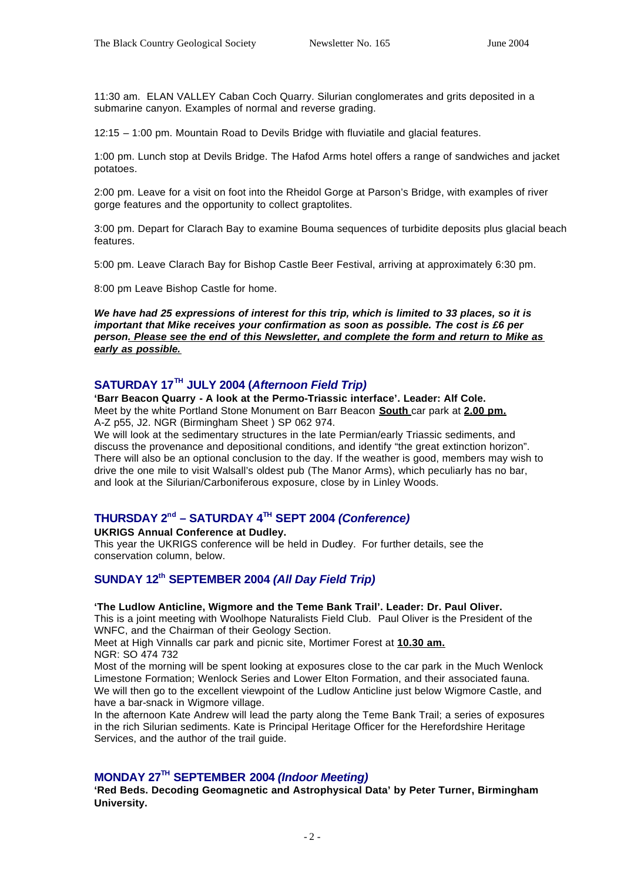11:30 am. ELAN VALLEY Caban Coch Quarry. Silurian conglomerates and grits deposited in a submarine canyon. Examples of normal and reverse grading.

12:15 – 1:00 pm. Mountain Road to Devils Bridge with fluviatile and glacial features.

1:00 pm. Lunch stop at Devils Bridge. The Hafod Arms hotel offers a range of sandwiches and jacket potatoes.

2:00 pm. Leave for a visit on foot into the Rheidol Gorge at Parson's Bridge, with examples of river gorge features and the opportunity to collect graptolites.

3:00 pm. Depart for Clarach Bay to examine Bouma sequences of turbidite deposits plus glacial beach features.

5:00 pm. Leave Clarach Bay for Bishop Castle Beer Festival, arriving at approximately 6:30 pm.

8:00 pm Leave Bishop Castle for home.

*We have had 25 expressions of interest for this trip, which is limited to 33 places, so it is important that Mike receives your confirmation as soon as possible. The cost is £6 per person. Please see the end of this Newsletter, and complete the form and return to Mike as early as possible.*

### **SATURDAY 17TH JULY 2004 (***Afternoon Field Trip)*

**'Barr Beacon Quarry - A look at the Permo-Triassic interface'. Leader: Alf Cole.** Meet by the white Portland Stone Monument on Barr Beacon **South** car park at **2.00 pm.** A-Z p55, J2. NGR (Birmingham Sheet ) SP 062 974.

We will look at the sedimentary structures in the late Permian/early Triassic sediments, and discuss the provenance and depositional conditions, and identify "the great extinction horizon". There will also be an optional conclusion to the day. If the weather is good, members may wish to drive the one mile to visit Walsall's oldest pub (The Manor Arms), which peculiarly has no bar, and look at the Silurian/Carboniferous exposure, close by in Linley Woods.

### **THURSDAY 2nd – SATURDAY 4TH SEPT 2004** *(Conference)*

**UKRIGS Annual Conference at Dudley.**

This year the UKRIGS conference will be held in Dudley. For further details, see the conservation column, below.

### **SUNDAY 12th SEPTEMBER 2004** *(All Day Field Trip)*

#### **'The Ludlow Anticline, Wigmore and the Teme Bank Trail'. Leader: Dr. Paul Oliver.**

This is a joint meeting with Woolhope Naturalists Field Club. Paul Oliver is the President of the WNFC, and the Chairman of their Geology Section.

Meet at High Vinnalls car park and picnic site, Mortimer Forest at **10.30 am.** NGR: SO 474 732

Most of the morning will be spent looking at exposures close to the car park in the Much Wenlock Limestone Formation; Wenlock Series and Lower Elton Formation, and their associated fauna. We will then go to the excellent viewpoint of the Ludlow Anticline just below Wigmore Castle, and have a bar-snack in Wigmore village.

In the afternoon Kate Andrew will lead the party along the Teme Bank Trail; a series of exposures in the rich Silurian sediments. Kate is Principal Heritage Officer for the Herefordshire Heritage Services, and the author of the trail guide.

### **MONDAY 27TH SEPTEMBER 2004** *(Indoor Meeting)*

**'Red Beds. Decoding Geomagnetic and Astrophysical Data' by Peter Turner, Birmingham University.**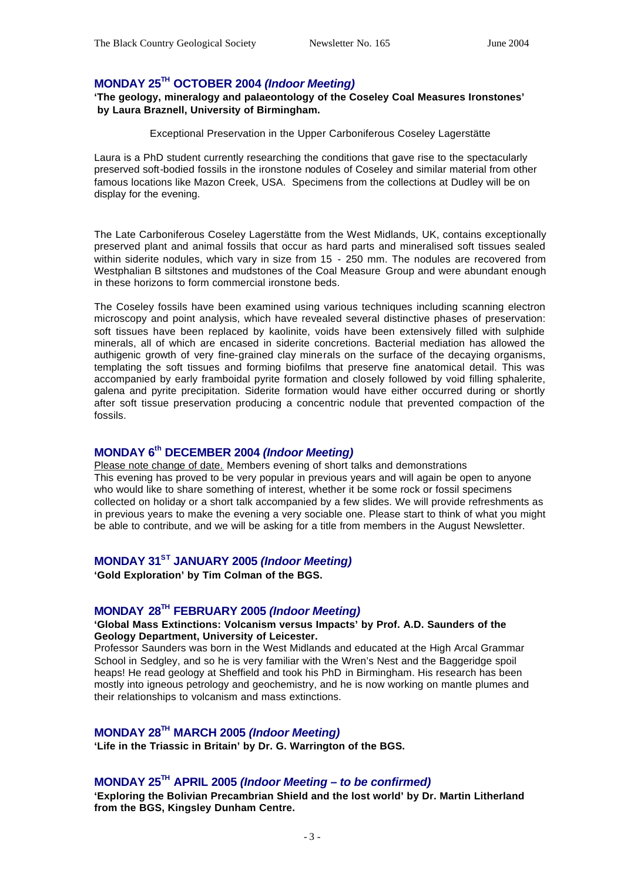### **MONDAY 25TH OCTOBER 2004** *(Indoor Meeting)*

**'The geology, mineralogy and palaeontology of the Coseley Coal Measures Ironstones' by Laura Braznell, University of Birmingham.**

Exceptional Preservation in the Upper Carboniferous Coseley Lagerstätte

Laura is a PhD student currently researching the conditions that gave rise to the spectacularly preserved soft-bodied fossils in the ironstone nodules of Coseley and similar material from other famous locations like Mazon Creek, USA. Specimens from the collections at Dudley will be on display for the evening.

The Late Carboniferous Coseley Lagerstätte from the West Midlands, UK, contains exceptionally preserved plant and animal fossils that occur as hard parts and mineralised soft tissues sealed within siderite nodules, which vary in size from 15 - 250 mm. The nodules are recovered from Westphalian B siltstones and mudstones of the Coal Measure Group and were abundant enough in these horizons to form commercial ironstone beds.

The Coseley fossils have been examined using various techniques including scanning electron microscopy and point analysis, which have revealed several distinctive phases of preservation: soft tissues have been replaced by kaolinite, voids have been extensively filled with sulphide minerals, all of which are encased in siderite concretions. Bacterial mediation has allowed the authigenic growth of very fine-grained clay minerals on the surface of the decaying organisms, templating the soft tissues and forming biofilms that preserve fine anatomical detail. This was accompanied by early framboidal pyrite formation and closely followed by void filling sphalerite, galena and pyrite precipitation. Siderite formation would have either occurred during or shortly after soft tissue preservation producing a concentric nodule that prevented compaction of the fossils.

### **MONDAY 6th DECEMBER 2004** *(Indoor Meeting)*

Please note change of date. Members evening of short talks and demonstrations This evening has proved to be very popular in previous years and will again be open to anyone who would like to share something of interest, whether it be some rock or fossil specimens collected on holiday or a short talk accompanied by a few slides. We will provide refreshments as in previous years to make the evening a very sociable one. Please start to think of what you might be able to contribute, and we will be asking for a title from members in the August Newsletter.

### **MONDAY 31ST JANUARY 2005** *(Indoor Meeting)*

**'Gold Exploration' by Tim Colman of the BGS.**

### **MONDAY 28TH FEBRUARY 2005** *(Indoor Meeting)*

#### **'Global Mass Extinctions: Volcanism versus Impacts' by Prof. A.D. Saunders of the Geology Department, University of Leicester.**

Professor Saunders was born in the West Midlands and educated at the High Arcal Grammar School in Sedgley, and so he is very familiar with the Wren's Nest and the Baggeridge spoil heaps! He read geology at Sheffield and took his PhD in Birmingham. His research has been mostly into igneous petrology and geochemistry, and he is now working on mantle plumes and their relationships to volcanism and mass extinctions.

#### **MONDAY 28TH MARCH 2005** *(Indoor Meeting)*

**'Life in the Triassic in Britain' by Dr. G. Warrington of the BGS.** 

#### **MONDAY 25TH APRIL 2005** *(Indoor Meeting – to be confirmed)*

**'Exploring the Bolivian Precambrian Shield and the lost world' by Dr. Martin Litherland from the BGS, Kingsley Dunham Centre.**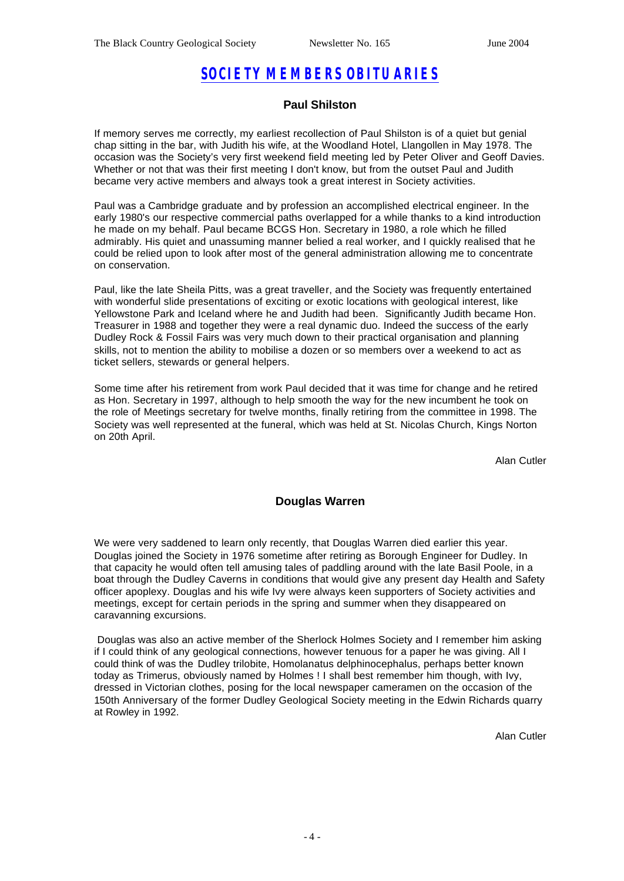# *SOCIETY MEMBERS OBITUARIES*

#### **Paul Shilston**

If memory serves me correctly, my earliest recollection of Paul Shilston is of a quiet but genial chap sitting in the bar, with Judith his wife, at the Woodland Hotel, Llangollen in May 1978. The occasion was the Society's very first weekend field meeting led by Peter Oliver and Geoff Davies. Whether or not that was their first meeting I don't know, but from the outset Paul and Judith became very active members and always took a great interest in Society activities.

Paul was a Cambridge graduate and by profession an accomplished electrical engineer. In the early 1980's our respective commercial paths overlapped for a while thanks to a kind introduction he made on my behalf. Paul became BCGS Hon. Secretary in 1980, a role which he filled admirably. His quiet and unassuming manner belied a real worker, and I quickly realised that he could be relied upon to look after most of the general administration allowing me to concentrate on conservation.

Paul, like the late Sheila Pitts, was a great traveller, and the Society was frequently entertained with wonderful slide presentations of exciting or exotic locations with geological interest, like Yellowstone Park and Iceland where he and Judith had been. Significantly Judith became Hon. Treasurer in 1988 and together they were a real dynamic duo. Indeed the success of the early Dudley Rock & Fossil Fairs was very much down to their practical organisation and planning skills, not to mention the ability to mobilise a dozen or so members over a weekend to act as ticket sellers, stewards or general helpers.

Some time after his retirement from work Paul decided that it was time for change and he retired as Hon. Secretary in 1997, although to help smooth the way for the new incumbent he took on the role of Meetings secretary for twelve months, finally retiring from the committee in 1998. The Society was well represented at the funeral, which was held at St. Nicolas Church, Kings Norton on 20th April.

Alan Cutler

#### **Douglas Warren**

We were very saddened to learn only recently, that Douglas Warren died earlier this year. Douglas joined the Society in 1976 sometime after retiring as Borough Engineer for Dudley. In that capacity he would often tell amusing tales of paddling around with the late Basil Poole, in a boat through the Dudley Caverns in conditions that would give any present day Health and Safety officer apoplexy. Douglas and his wife Ivy were always keen supporters of Society activities and meetings, except for certain periods in the spring and summer when they disappeared on caravanning excursions.

 Douglas was also an active member of the Sherlock Holmes Society and I remember him asking if I could think of any geological connections, however tenuous for a paper he was giving. All I could think of was the Dudley trilobite, Homolanatus delphinocephalus, perhaps better known today as Trimerus, obviously named by Holmes ! I shall best remember him though, with Ivy, dressed in Victorian clothes, posing for the local newspaper cameramen on the occasion of the 150th Anniversary of the former Dudley Geological Society meeting in the Edwin Richards quarry at Rowley in 1992.

Alan Cutler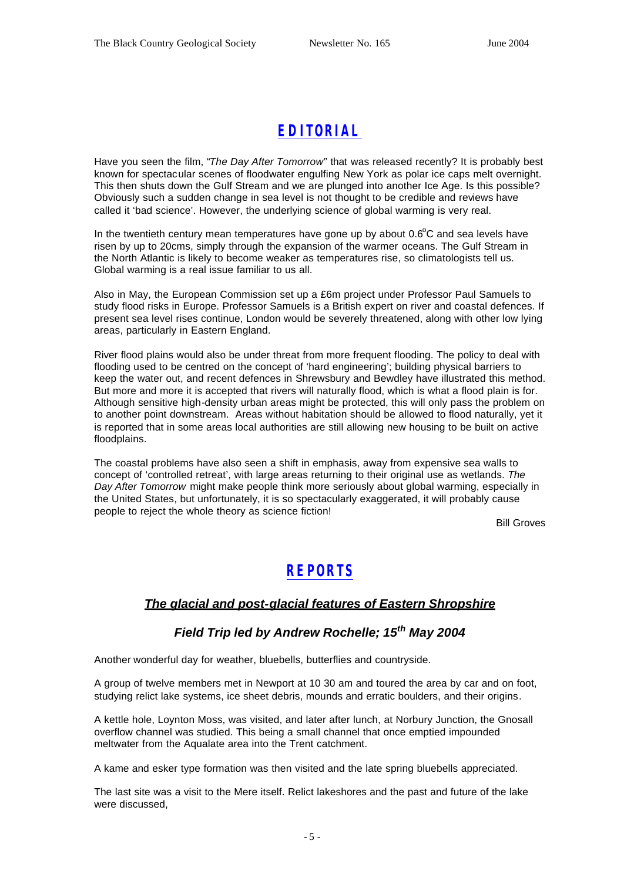# *EDITORIAL*

Have you seen the film, "*The Day After Tomorrow"* that was released recently? It is probably best known for spectacular scenes of floodwater engulfing New York as polar ice caps melt overnight. This then shuts down the Gulf Stream and we are plunged into another Ice Age. Is this possible? Obviously such a sudden change in sea level is not thought to be credible and reviews have called it 'bad science'. However, the underlying science of global warming is very real.

In the twentieth century mean temperatures have gone up by about  $0.6^{\circ}$ C and sea levels have risen by up to 20cms, simply through the expansion of the warmer oceans. The Gulf Stream in the North Atlantic is likely to become weaker as temperatures rise, so climatologists tell us. Global warming is a real issue familiar to us all.

Also in May, the European Commission set up a £6m project under Professor Paul Samuels to study flood risks in Europe. Professor Samuels is a British expert on river and coastal defences. If present sea level rises continue, London would be severely threatened, along with other low lying areas, particularly in Eastern England.

River flood plains would also be under threat from more frequent flooding. The policy to deal with flooding used to be centred on the concept of 'hard engineering'; building physical barriers to keep the water out, and recent defences in Shrewsbury and Bewdley have illustrated this method. But more and more it is accepted that rivers will naturally flood, which is what a flood plain is for. Although sensitive high-density urban areas might be protected, this will only pass the problem on to another point downstream. Areas without habitation should be allowed to flood naturally, yet it is reported that in some areas local authorities are still allowing new housing to be built on active floodplains.

The coastal problems have also seen a shift in emphasis, away from expensive sea walls to concept of 'controlled retreat', with large areas returning to their original use as wetlands. *The Day After Tomorrow* might make people think more seriously about global warming, especially in the United States, but unfortunately, it is so spectacularly exaggerated, it will probably cause people to reject the whole theory as science fiction!

Bill Groves

### *REPORTS*

### *The glacial and post-glacial features of Eastern Shropshire*

### *Field Trip led by Andrew Rochelle; 15th May 2004*

Another wonderful day for weather, bluebells, butterflies and countryside.

A group of twelve members met in Newport at 10 30 am and toured the area by car and on foot, studying relict lake systems, ice sheet debris, mounds and erratic boulders, and their origins.

A kettle hole, Loynton Moss, was visited, and later after lunch, at Norbury Junction, the Gnosall overflow channel was studied. This being a small channel that once emptied impounded meltwater from the Aqualate area into the Trent catchment.

A kame and esker type formation was then visited and the late spring bluebells appreciated.

The last site was a visit to the Mere itself. Relict lakeshores and the past and future of the lake were discussed,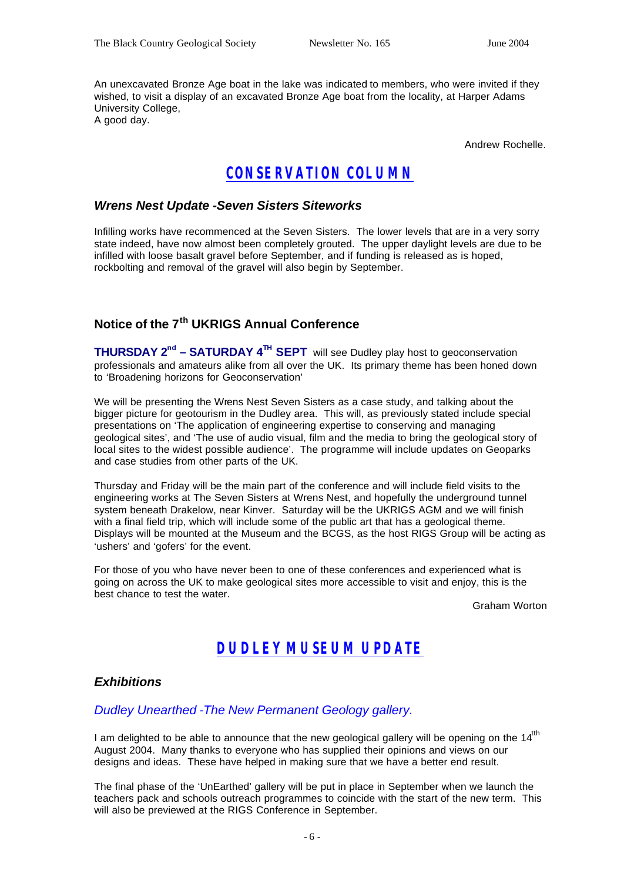An unexcavated Bronze Age boat in the lake was indicated to members, who were invited if they wished, to visit a display of an excavated Bronze Age boat from the locality, at Harper Adams University College, A good day.

Andrew Rochelle.

### *CONSERVATION COLUMN*

### *Wrens Nest Update -Seven Sisters Siteworks*

Infilling works have recommenced at the Seven Sisters. The lower levels that are in a very sorry state indeed, have now almost been completely grouted. The upper daylight levels are due to be infilled with loose basalt gravel before September, and if funding is released as is hoped, rockbolting and removal of the gravel will also begin by September.

### **Notice of the 7th UKRIGS Annual Conference**

**THURSDAY 2nd – SATURDAY 4TH SEPT** will see Dudley play host to geoconservation professionals and amateurs alike from all over the UK. Its primary theme has been honed down to 'Broadening horizons for Geoconservation'

We will be presenting the Wrens Nest Seven Sisters as a case study, and talking about the bigger picture for geotourism in the Dudley area. This will, as previously stated include special presentations on 'The application of engineering expertise to conserving and managing geological sites', and 'The use of audio visual, film and the media to bring the geological story of local sites to the widest possible audience'. The programme will include updates on Geoparks and case studies from other parts of the UK.

Thursday and Friday will be the main part of the conference and will include field visits to the engineering works at The Seven Sisters at Wrens Nest, and hopefully the underground tunnel system beneath Drakelow, near Kinver. Saturday will be the UKRIGS AGM and we will finish with a final field trip, which will include some of the public art that has a geological theme. Displays will be mounted at the Museum and the BCGS, as the host RIGS Group will be acting as 'ushers' and 'gofers' for the event.

For those of you who have never been to one of these conferences and experienced what is going on across the UK to make geological sites more accessible to visit and enjoy, this is the best chance to test the water.

Graham Worton

### *DUDLEY MUSEUM UPDATE*

### *Exhibitions*

### *Dudley Unearthed -The New Permanent Geology gallery.*

I am delighted to be able to announce that the new geological gallery will be opening on the 14<sup>th</sup> August 2004. Many thanks to everyone who has supplied their opinions and views on our designs and ideas. These have helped in making sure that we have a better end result.

The final phase of the 'UnEarthed' gallery will be put in place in September when we launch the teachers pack and schools outreach programmes to coincide with the start of the new term. This will also be previewed at the RIGS Conference in September.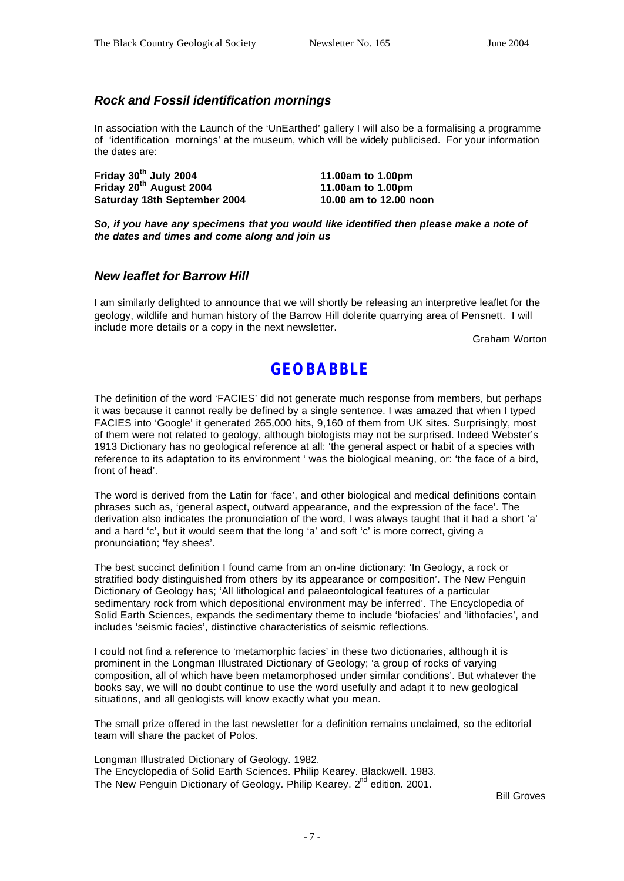### *Rock and Fossil identification mornings*

In association with the Launch of the 'UnEarthed' gallery I will also be a formalising a programme of 'identification mornings' at the museum, which will be widely publicised. For your information the dates are:

**Friday 30th July 2004 11.00am to 1.00pm Friday 20th August 2004 11.00am to 1.00pm Saturday 18th September 2004 10.00 am to 12.00 noon**

*So, if you have any specimens that you would like identified then please make a note of the dates and times and come along and join us* 

#### *New leaflet for Barrow Hill*

I am similarly delighted to announce that we will shortly be releasing an interpretive leaflet for the geology, wildlife and human history of the Barrow Hill dolerite quarrying area of Pensnett. I will include more details or a copy in the next newsletter.

Graham Worton

### **GEOBABBLE**

The definition of the word 'FACIES' did not generate much response from members, but perhaps it was because it cannot really be defined by a single sentence. I was amazed that when I typed FACIES into 'Google' it generated 265,000 hits, 9,160 of them from UK sites. Surprisingly, most of them were not related to geology, although biologists may not be surprised. Indeed Webster's 1913 Dictionary has no geological reference at all: 'the general aspect or habit of a species with reference to its adaptation to its environment ' was the biological meaning, or: 'the face of a bird, front of head'.

The word is derived from the Latin for 'face', and other biological and medical definitions contain phrases such as, 'general aspect, outward appearance, and the expression of the face'. The derivation also indicates the pronunciation of the word, I was always taught that it had a short 'a' and a hard 'c', but it would seem that the long 'a' and soft 'c' is more correct, giving a pronunciation; 'fey shees'.

The best succinct definition I found came from an on-line dictionary: 'In Geology, a rock or stratified body distinguished from others by its appearance or composition'. The New Penguin Dictionary of Geology has; 'All lithological and palaeontological features of a particular sedimentary rock from which depositional environment may be inferred'. The Encyclopedia of Solid Earth Sciences, expands the sedimentary theme to include 'biofacies' and 'lithofacies', and includes 'seismic facies', distinctive characteristics of seismic reflections.

I could not find a reference to 'metamorphic facies' in these two dictionaries, although it is prominent in the Longman Illustrated Dictionary of Geology; 'a group of rocks of varying composition, all of which have been metamorphosed under similar conditions'. But whatever the books say, we will no doubt continue to use the word usefully and adapt it to new geological situations, and all geologists will know exactly what you mean.

The small prize offered in the last newsletter for a definition remains unclaimed, so the editorial team will share the packet of Polos.

Longman Illustrated Dictionary of Geology. 1982. The Encyclopedia of Solid Earth Sciences. Philip Kearey. Blackwell. 1983. The New Penguin Dictionary of Geology. Philip Kearey. 2<sup>nd</sup> edition. 2001.

Bill Groves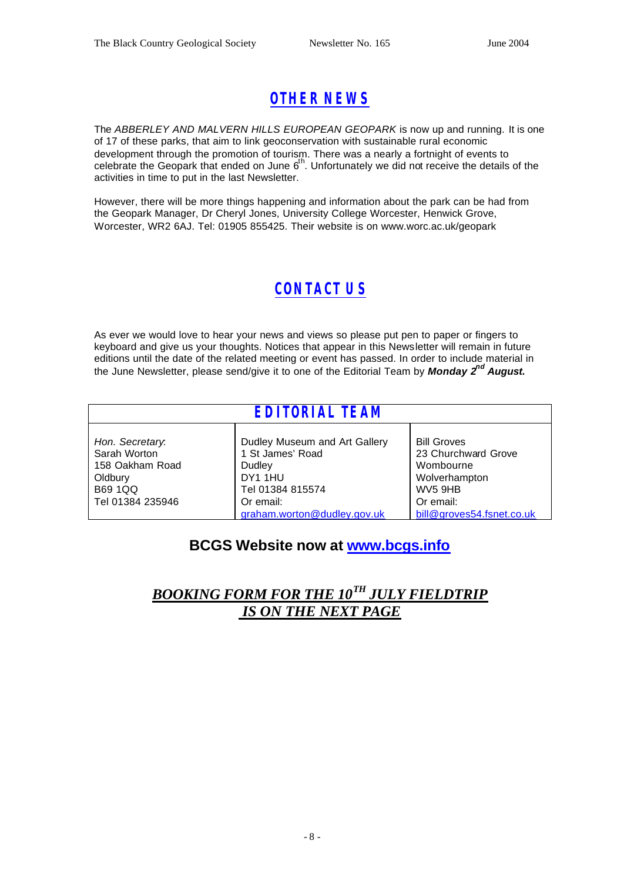# *OTHER NEWS*

The *ABBERLEY AND MALVERN HILLS EUROPEAN GEOPARK* is now up and running. It is one of 17 of these parks, that aim to link geoconservation with sustainable rural economic development through the promotion of tourism. There was a nearly a fortnight of events to celebrate the Geopark that ended on June  $6<sup>th</sup>$ . Unfortunately we did not receive the details of the activities in time to put in the last Newsletter.

However, there will be more things happening and information about the park can be had from the Geopark Manager, Dr Cheryl Jones, University College Worcester, Henwick Grove, Worcester, WR2 6AJ. Tel: 01905 855425. Their website is on www.worc.ac.uk/geopark

# *CONTACT US*

As ever we would love to hear your news and views so please put pen to paper or fingers to keyboard and give us your thoughts. Notices that appear in this Newsletter will remain in future editions until the date of the related meeting or event has passed. In order to include material in the June Newsletter, please send/give it to one of the Editorial Team by *Monday 2nd August.*

| <b>EDITORIAL TEAM</b>                                                                               |                                                                                                         |                                                                                                 |
|-----------------------------------------------------------------------------------------------------|---------------------------------------------------------------------------------------------------------|-------------------------------------------------------------------------------------------------|
| Hon. Secretary.<br>Sarah Worton<br>158 Oakham Road<br>Oldbury<br><b>B69 1QQ</b><br>Tel 01384 235946 | Dudley Museum and Art Gallery<br>1 St James' Road<br>Dudley<br>DY1 1HU<br>Tel 01384 815574<br>Or email: | <b>Bill Groves</b><br>23 Churchward Grove<br>Wombourne<br>Wolverhampton<br>WV5 9HB<br>Or email: |
|                                                                                                     | graham.worton@dudley.gov.uk                                                                             | bill@groves54.fsnet.co.uk                                                                       |

### **BCGS Website now at www.bcgs.info**

### *BOOKING FORM FOR THE 10TH JULY FIELDTRIP IS ON THE NEXT PAGE*